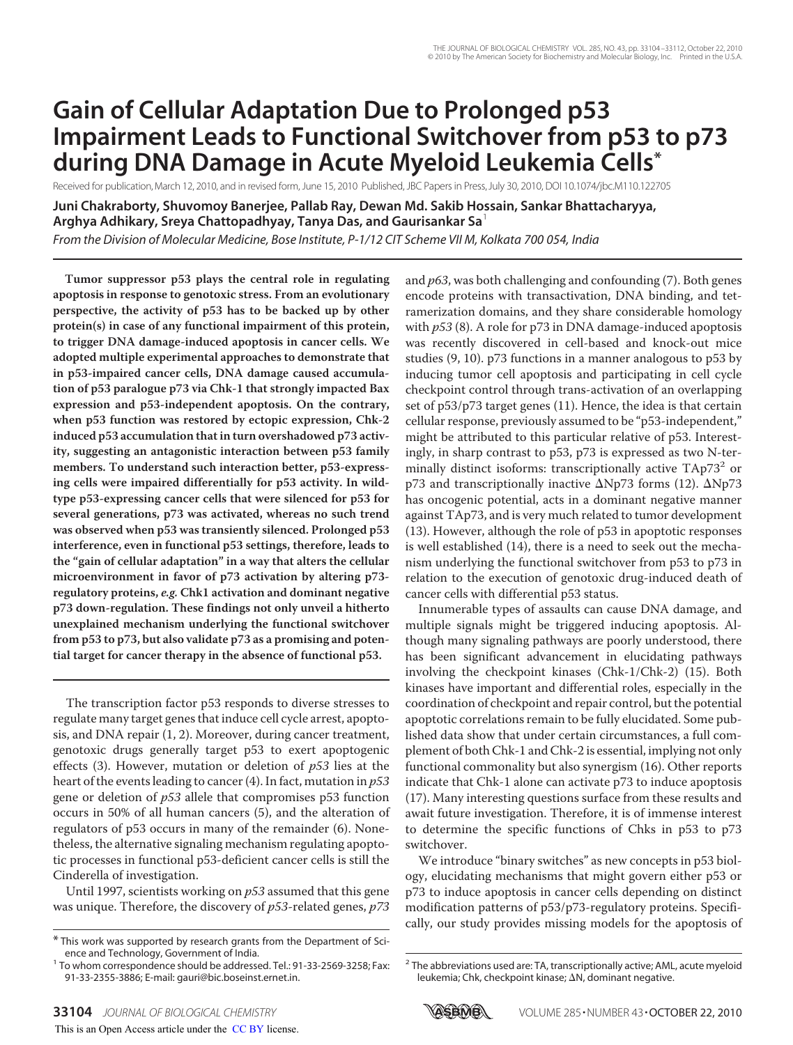# **Gain of Cellular Adaptation Due to Prolonged p53 Impairment Leads to Functional Switchover from p53 to p73 during DNA Damage in Acute Myeloid Leukemia Cells\***

Received for publication, March 12, 2010, and in revised form, June 15, 2010 Published, JBC Papers in Press, July 30, 2010, DOI 10.1074/jbc.M110.122705

**Juni Chakraborty, Shuvomoy Banerjee, Pallab Ray, Dewan Md. Sakib Hossain, Sankar Bhattacharyya, Arghya Adhikary, Sreya Chattopadhyay, Tanya Das, and Gaurisankar Sa**<sup>1</sup>

*From the Division of Molecular Medicine, Bose Institute, P-1/12 CIT Scheme VII M, Kolkata 700 054, India*

**Tumor suppressor p53 plays the central role in regulating apoptosis in response to genotoxic stress. From an evolutionary perspective, the activity of p53 has to be backed up by other protein(s) in case of any functional impairment of this protein, to trigger DNA damage-induced apoptosis in cancer cells. We adopted multiple experimental approaches to demonstrate that in p53-impaired cancer cells, DNA damage caused accumulation of p53 paralogue p73 via Chk-1 that strongly impacted Bax expression and p53-independent apoptosis. On the contrary, when p53 function was restored by ectopic expression, Chk-2 induced p53 accumulation that in turn overshadowed p73 activity, suggesting an antagonistic interaction between p53 family members. To understand such interaction better, p53-expressing cells were impaired differentially for p53 activity. In wildtype p53-expressing cancer cells that were silenced for p53 for several generations, p73 was activated, whereas no such trend was observed when p53 was transiently silenced. Prolonged p53 interference, even in functional p53 settings, therefore, leads to the "gain of cellular adaptation" in a way that alters the cellular microenvironment in favor of p73 activation by altering p73 regulatory proteins, e.g. Chk1 activation and dominant negative p73 down-regulation. These findings not only unveil a hitherto unexplained mechanism underlying the functional switchover from p53 to p73, but also validate p73 as a promising and potential target for cancer therapy in the absence of functional p53.**

The transcription factor p53 responds to diverse stresses to regulate many target genes that induce cell cycle arrest, apoptosis, and DNA repair (1, 2). Moreover, during cancer treatment, genotoxic drugs generally target p53 to exert apoptogenic effects (3). However, mutation or deletion of  $p53$  lies at the heart of the events leading to cancer (4). In fact, mutation in  $p53$ gene or deletion of p53 allele that compromises p53 function occurs in 50% of all human cancers (5), and the alteration of regulators of p53 occurs in many of the remainder (6). Nonetheless, the alternative signaling mechanism regulating apoptotic processes in functional p53-deficient cancer cells is still the Cinderella of investigation.

Until 1997, scientists working on  $p53$  assumed that this gene was unique. Therefore, the discovery of  $p53$ -related genes,  $p73$  and  $p63$ , was both challenging and confounding  $(7)$ . Both genes encode proteins with transactivation, DNA binding, and tetramerization domains, and they share considerable homology with  $p53$  (8). A role for p73 in DNA damage-induced apoptosis was recently discovered in cell-based and knock-out mice studies (9, 10). p73 functions in a manner analogous to p53 by inducing tumor cell apoptosis and participating in cell cycle checkpoint control through trans-activation of an overlapping set of p53/p73 target genes (11). Hence, the idea is that certain cellular response, previously assumed to be "p53-independent," might be attributed to this particular relative of p53. Interestingly, in sharp contrast to p53, p73 is expressed as two N-terminally distinct isoforms: transcriptionally active TAp73<sup>2</sup> or p73 and transcriptionally inactive  $\Delta$ Np73 forms (12).  $\Delta$ Np73 has oncogenic potential, acts in a dominant negative manner against TAp73, and is very much related to tumor development (13). However, although the role of p53 in apoptotic responses is well established (14), there is a need to seek out the mechanism underlying the functional switchover from p53 to p73 in relation to the execution of genotoxic drug-induced death of cancer cells with differential p53 status.

Innumerable types of assaults can cause DNA damage, and multiple signals might be triggered inducing apoptosis. Although many signaling pathways are poorly understood, there has been significant advancement in elucidating pathways involving the checkpoint kinases (Chk-1/Chk-2) (15). Both kinases have important and differential roles, especially in the coordination of checkpoint and repair control, but the potential apoptotic correlations remain to be fully elucidated. Some published data show that under certain circumstances, a full complement of both Chk-1 and Chk-2 is essential, implying not only functional commonality but also synergism (16). Other reports indicate that Chk-1 alone can activate p73 to induce apoptosis (17). Many interesting questions surface from these results and await future investigation. Therefore, it is of immense interest to determine the specific functions of Chks in p53 to p73 switchover.

We introduce "binary switches" as new concepts in p53 biology, elucidating mechanisms that might govern either p53 or p73 to induce apoptosis in cancer cells depending on distinct modification patterns of p53/p73-regulatory proteins. Specifically, our study provides missing models for the apoptosis of



<sup>\*</sup> This work was supported by research grants from the Department of Science and Technology, Government of India.

<sup>&</sup>lt;sup>1</sup> To whom correspondence should be addressed. Tel.: 91-33-2569-3258; Fax: 91-33-2355-3886; E-mail: gauri@bic.boseinst.ernet.in.

<sup>&</sup>lt;sup>2</sup> The abbreviations used are: TA, transcriptionally active; AML, acute myeloid leukemia; Chk, checkpoint kinase; ΔN, dominant negative.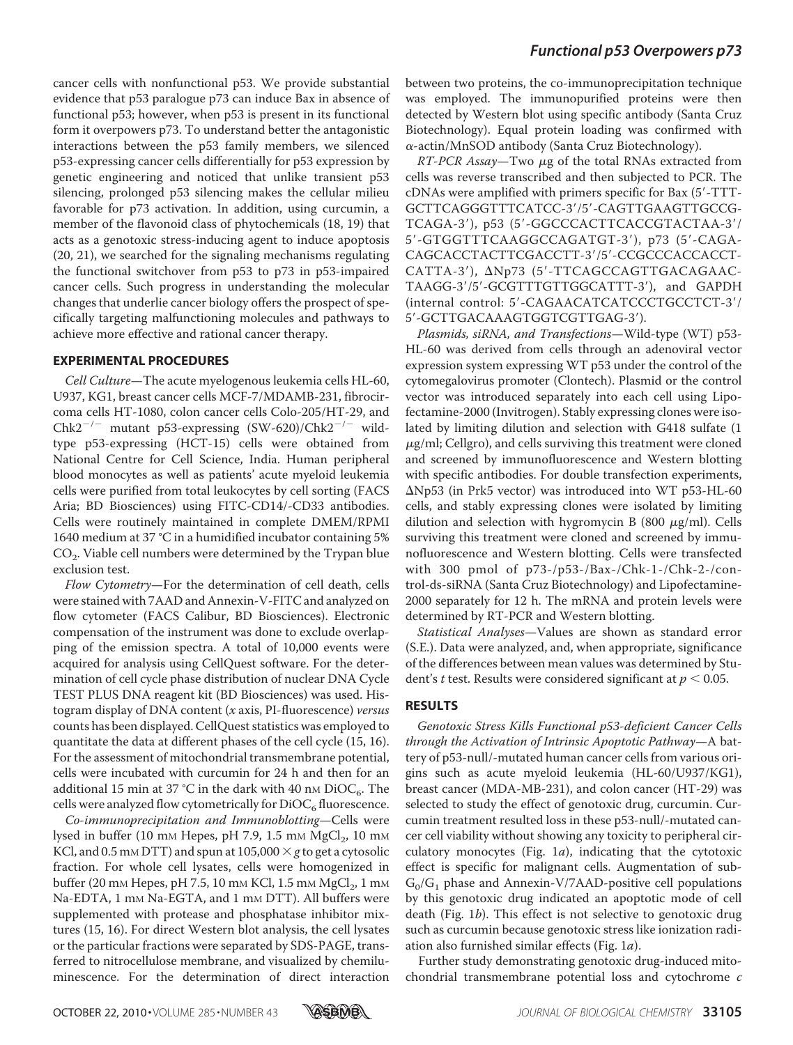cancer cells with nonfunctional p53. We provide substantial evidence that p53 paralogue p73 can induce Bax in absence of functional p53; however, when p53 is present in its functional form it overpowers p73. To understand better the antagonistic interactions between the p53 family members, we silenced p53-expressing cancer cells differentially for p53 expression by genetic engineering and noticed that unlike transient p53 silencing, prolonged p53 silencing makes the cellular milieu favorable for p73 activation. In addition, using curcumin, a member of the flavonoid class of phytochemicals (18, 19) that acts as a genotoxic stress-inducing agent to induce apoptosis (20, 21), we searched for the signaling mechanisms regulating the functional switchover from p53 to p73 in p53-impaired cancer cells. Such progress in understanding the molecular changes that underlie cancer biology offers the prospect of specifically targeting malfunctioning molecules and pathways to achieve more effective and rational cancer therapy.

#### **EXPERIMENTAL PROCEDURES**

Cell Culture—The acute myelogenous leukemia cells HL-60, U937, KG1, breast cancer cells MCF-7/MDAMB-231, fibrocircoma cells HT-1080, colon cancer cells Colo-205/HT-29, and  $Chk2^{-/-}$  mutant p53-expressing  $(SW-620)/Chk2^{-/-}$  wildtype p53-expressing (HCT-15) cells were obtained from National Centre for Cell Science, India. Human peripheral blood monocytes as well as patients' acute myeloid leukemia cells were purified from total leukocytes by cell sorting (FACS Aria; BD Biosciences) using FITC-CD14/-CD33 antibodies. Cells were routinely maintained in complete DMEM/RPMI 1640 medium at 37 °C in a humidified incubator containing 5%  $\mathrm{CO}_2$ . Viable cell numbers were determined by the Trypan blue exclusion test.

Flow Cytometry—For the determination of cell death, cells were stained with 7AAD and Annexin-V-FITC and analyzed on flow cytometer (FACS Calibur, BD Biosciences). Electronic compensation of the instrument was done to exclude overlapping of the emission spectra. A total of 10,000 events were acquired for analysis using CellQuest software. For the determination of cell cycle phase distribution of nuclear DNA Cycle TEST PLUS DNA reagent kit (BD Biosciences) was used. Histogram display of DNA content  $(x \text{ axis}, \text{PI-fluorescence})$  versus counts has been displayed. CellQuest statistics was employed to quantitate the data at different phases of the cell cycle (15, 16). For the assessment of mitochondrial transmembrane potential, cells were incubated with curcumin for 24 h and then for an additional 15 min at 37 °C in the dark with 40 nm DiOC<sub>6</sub>. The cells were analyzed flow cytometrically for  $\rm{DiOC}_6$  fluorescence.

Co-immunoprecipitation and Immunoblotting—Cells were lysed in buffer (10 mm Hepes, pH 7.9, 1.5 mm  $\mathrm{MgCl}_2$ , 10 mm KCl, and 0.5 mm DTT) and spun at  $105,000 \times g$  to get a cytosolic fraction. For whole cell lysates, cells were homogenized in buffer (20 mm Hepes, pH 7.5, 10 mm KCl, 1.5 mm  $\mathrm{MgCl}_2$ , 1 mm Na-EDTA, 1 mm Na-EGTA, and 1 mm DTT). All buffers were supplemented with protease and phosphatase inhibitor mixtures (15, 16). For direct Western blot analysis, the cell lysates or the particular fractions were separated by SDS-PAGE, transferred to nitrocellulose membrane, and visualized by chemiluminescence. For the determination of direct interaction

between two proteins, the co-immunoprecipitation technique was employed. The immunopurified proteins were then detected by Western blot using specific antibody (Santa Cruz Biotechnology). Equal protein loading was confirmed with  $\alpha$ -actin/MnSOD antibody (Santa Cruz Biotechnology).

RT-PCR Assay—Two  $\mu$ g of the total RNAs extracted from cells was reverse transcribed and then subjected to PCR. The cDNAs were amplified with primers specific for Bax (5-TTT-GCTTCAGGGTTTCATCC-3'/5'-CAGTTGAAGTTGCCG-TCAGA-3'), p53 (5'-GGCCCACTTCACCGTACTAA-3'/ 5-GTGGTTTCAAGGCCAGATGT-3), p73 (5-CAGA-CAGCACCTACTTCGACCTT-3/5-CCGCCCACCACCT-CATTA-3'),  $\Delta Np73$  (5'-TTCAGCCAGTTGACAGAAC-TAAGG-3/5-GCGTTTGTTGGCATTT-3), and GAPDH (internal control: 5'-CAGAACATCATCCCTGCCTCT-3'/ 5-GCTTGACAAAGTGGTCGTTGAG-3).

Plasmids, siRNA, and Transfections—Wild-type (WT) p53- HL-60 was derived from cells through an adenoviral vector expression system expressing WT p53 under the control of the cytomegalovirus promoter (Clontech). Plasmid or the control vector was introduced separately into each cell using Lipofectamine-2000 (Invitrogen). Stably expressing clones were isolated by limiting dilution and selection with G418 sulfate (1  $\mu$ g/ml; Cellgro), and cells surviving this treatment were cloned and screened by immunofluorescence and Western blotting with specific antibodies. For double transfection experiments,  $\Delta$ Np53 (in Prk5 vector) was introduced into WT p53-HL-60 cells, and stably expressing clones were isolated by limiting dilution and selection with hygromycin B (800  $\mu$ g/ml). Cells surviving this treatment were cloned and screened by immunofluorescence and Western blotting. Cells were transfected with 300 pmol of p73-/p53-/Bax-/Chk-1-/Chk-2-/control-ds-siRNA (Santa Cruz Biotechnology) and Lipofectamine-2000 separately for 12 h. The mRNA and protein levels were determined by RT-PCR and Western blotting.

Statistical Analyses—Values are shown as standard error (S.E.). Data were analyzed, and, when appropriate, significance of the differences between mean values was determined by Student's t test. Results were considered significant at  $p < 0.05$ .

#### **RESULTS**

Genotoxic Stress Kills Functional p53-deficient Cancer Cells through the Activation of Intrinsic Apoptotic Pathway—A battery of p53-null/-mutated human cancer cells from various origins such as acute myeloid leukemia (HL-60/U937/KG1), breast cancer (MDA-MB-231), and colon cancer (HT-29) was selected to study the effect of genotoxic drug, curcumin. Curcumin treatment resulted loss in these p53-null/-mutated cancer cell viability without showing any toxicity to peripheral circulatory monocytes (Fig. 1a), indicating that the cytotoxic effect is specific for malignant cells. Augmentation of sub- $G_0/G_1$  phase and Annexin-V/7AAD-positive cell populations by this genotoxic drug indicated an apoptotic mode of cell death (Fig. 1b). This effect is not selective to genotoxic drug such as curcumin because genotoxic stress like ionization radiation also furnished similar effects (Fig. 1a).

Further study demonstrating genotoxic drug-induced mitochondrial transmembrane potential loss and cytochrome c

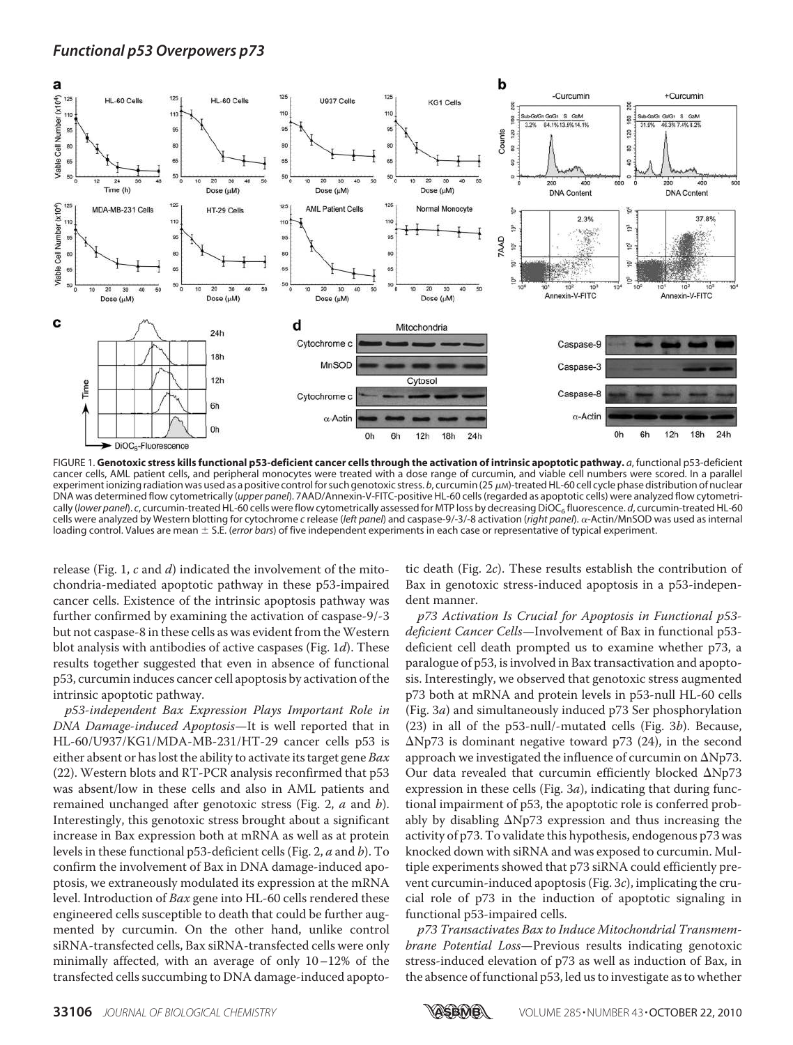

FIGURE 1. **Genotoxic stress kills functional p53-deficient cancer cells through the activation of intrinsic apoptotic pathway.** *a*, functional p53-deficient cancer cells, AML patient cells, and peripheral monocytes were treated with a dose range of curcumin, and viable cell numbers were scored. In a parallel experiment ionizing radiation was used as a positive control for such genotoxic stress. *b*, curcumin (25 μм)-treated HL-60 cell cycle phase distribution of nuclear DNA was determined flow cytometrically (*upper panel*). 7AAD/Annexin-V-FITC-positive HL-60 cells (regarded as apoptotic cells) were analyzed flow cytometrically (*lower panel*). *c*, curcumin-treated HL-60 cells were flow cytometrically assessed for MTP loss by decreasing DiOC<sub>6</sub> fluorescence. *d*, curcumin-treated HL-60 cells were analyzed by Western blotting for cytochrome *c* release (*left panel*) and caspase-9/-3/-8 activation (*right panel*). α-Actin/MnSOD was used as internal loading control. Values are mean  $\pm$  S.E. (*error bars*) of five independent experiments in each case or representative of typical experiment.

release (Fig. 1,  $c$  and  $d$ ) indicated the involvement of the mitochondria-mediated apoptotic pathway in these p53-impaired cancer cells. Existence of the intrinsic apoptosis pathway was further confirmed by examining the activation of caspase-9/-3 but not caspase-8 in these cells as was evident from the Western blot analysis with antibodies of active caspases (Fig. 1d). These results together suggested that even in absence of functional p53, curcumin induces cancer cell apoptosis by activation of the intrinsic apoptotic pathway.

p53-independent Bax Expression Plays Important Role in DNA Damage-induced Apoptosis—It is well reported that in HL-60/U937/KG1/MDA-MB-231/HT-29 cancer cells p53 is either absent or has lost the ability to activate its target gene  $Bax$ (22). Western blots and RT-PCR analysis reconfirmed that p53 was absent/low in these cells and also in AML patients and remained unchanged after genotoxic stress (Fig. 2, *a* and *b*). Interestingly, this genotoxic stress brought about a significant increase in Bax expression both at mRNA as well as at protein levels in these functional p53-deficient cells (Fig. 2, a and b). To confirm the involvement of Bax in DNA damage-induced apoptosis, we extraneously modulated its expression at the mRNA level. Introduction of Bax gene into HL-60 cells rendered these engineered cells susceptible to death that could be further augmented by curcumin. On the other hand, unlike control siRNA-transfected cells, Bax siRNA-transfected cells were only minimally affected, with an average of only 10–12% of the transfected cells succumbing to DNA damage-induced apoptotic death (Fig. 2c). These results establish the contribution of Bax in genotoxic stress-induced apoptosis in a p53-independent manner.

p73 Activation Is Crucial for Apoptosis in Functional p53 deficient Cancer Cells—Involvement of Bax in functional p53 deficient cell death prompted us to examine whether p73, a paralogue of p53, is involved in Bax transactivation and apoptosis. Interestingly, we observed that genotoxic stress augmented p73 both at mRNA and protein levels in p53-null HL-60 cells (Fig. 3a) and simultaneously induced p73 Ser phosphorylation (23) in all of the p53-null/-mutated cells (Fig. 3b). Because,  $\Delta$ Np73 is dominant negative toward p73 (24), in the second approach we investigated the influence of curcumin on  $\Delta Np73$ . Our data revealed that curcumin efficiently blocked  $\Delta$ Np73 expression in these cells (Fig. 3a), indicating that during functional impairment of p53, the apoptotic role is conferred probably by disabling  $\Delta Np73$  expression and thus increasing the activity of p73. To validate this hypothesis, endogenous p73 was knocked down with siRNA and was exposed to curcumin. Multiple experiments showed that p73 siRNA could efficiently prevent curcumin-induced apoptosis (Fig. 3c), implicating the crucial role of p73 in the induction of apoptotic signaling in functional p53-impaired cells.

p73 Transactivates Bax to Induce Mitochondrial Transmembrane Potential Loss—Previous results indicating genotoxic stress-induced elevation of p73 as well as induction of Bax, in the absence of functional p53, led us to investigate as to whether

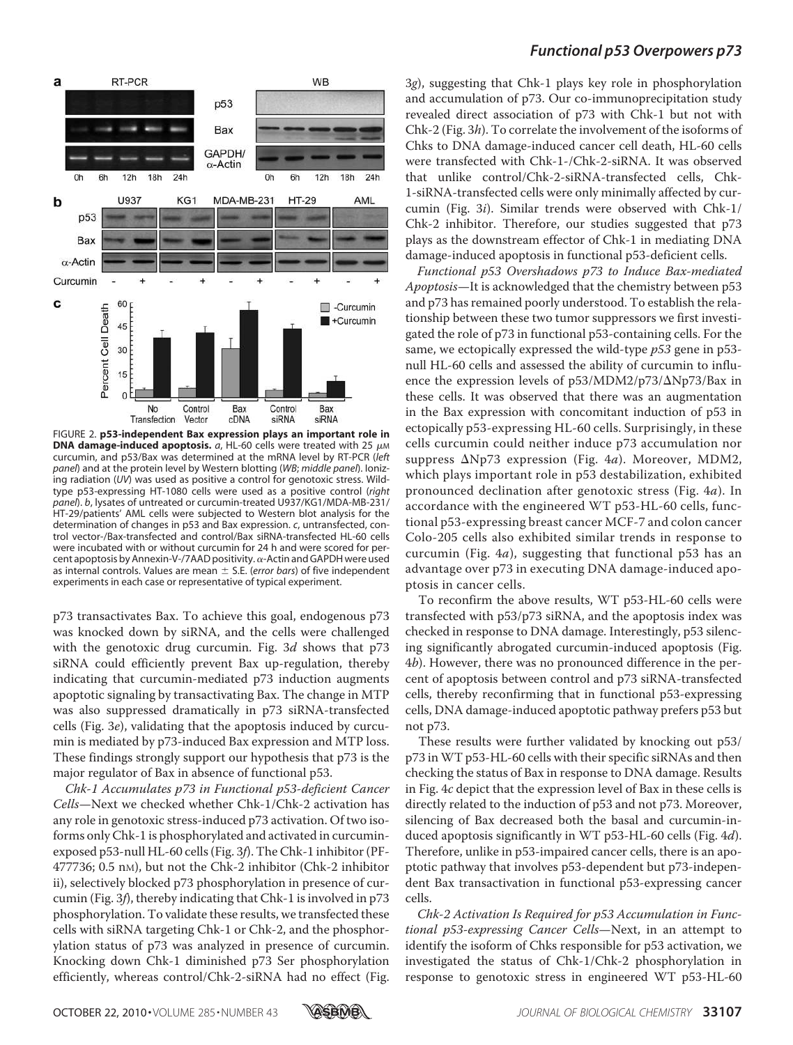



FIGURE 2. **p53-independent Bax expression plays an important role in DNA damage-induced apoptosis.**  $a$ , HL-60 cells were treated with 25  $\mu$ M curcumin, and p53/Bax was determined at the mRNA level by RT-PCR (*left panel*) and at the protein level by Western blotting (*WB*; *middle panel*). Ionizing radiation (*UV*) was used as positive a control for genotoxic stress. Wildtype p53-expressing HT-1080 cells were used as a positive control (*right panel*). *b*, lysates of untreated or curcumin-treated U937/KG1/MDA-MB-231/ HT-29/patients' AML cells were subjected to Western blot analysis for the determination of changes in p53 and Bax expression. *c*, untransfected, control vector-/Bax-transfected and control/Bax siRNA-transfected HL-60 cells were incubated with or without curcumin for 24 h and were scored for percent apoptosis by Annexin-V-/7AAD positivity.  $\alpha$ -Actin and GAPDH were used as internal controls. Values are mean  $\pm$  S.E. (*error bars*) of five independent experiments in each case or representative of typical experiment.

p73 transactivates Bax. To achieve this goal, endogenous p73 was knocked down by siRNA, and the cells were challenged with the genotoxic drug curcumin. Fig. 3d shows that p73 siRNA could efficiently prevent Bax up-regulation, thereby indicating that curcumin-mediated p73 induction augments apoptotic signaling by transactivating Bax. The change in MTP was also suppressed dramatically in p73 siRNA-transfected cells (Fig. 3e), validating that the apoptosis induced by curcumin is mediated by p73-induced Bax expression and MTP loss. These findings strongly support our hypothesis that p73 is the major regulator of Bax in absence of functional p53.

Chk-1 Accumulates p73 in Functional p53-deficient Cancer Cells—Next we checked whether Chk-1/Chk-2 activation has any role in genotoxic stress-induced p73 activation. Of two isoforms only Chk-1 is phosphorylated and activated in curcuminexposed p53-null HL-60 cells (Fig. 3f). The Chk-1 inhibitor (PF-477736; 0.5 nM), but not the Chk-2 inhibitor (Chk-2 inhibitor ii), selectively blocked p73 phosphorylation in presence of curcumin (Fig. 3f), thereby indicating that Chk-1 is involved in p73 phosphorylation. To validate these results, we transfected these cells with siRNA targeting Chk-1 or Chk-2, and the phosphorylation status of p73 was analyzed in presence of curcumin. Knocking down Chk-1 diminished p73 Ser phosphorylation efficiently, whereas control/Chk-2-siRNA had no effect (Fig.

3g), suggesting that Chk-1 plays key role in phosphorylation and accumulation of p73. Our co-immunoprecipitation study revealed direct association of p73 with Chk-1 but not with Chk-2 (Fig. 3h). To correlate the involvement of the isoforms of Chks to DNA damage-induced cancer cell death, HL-60 cells were transfected with Chk-1-/Chk-2-siRNA. It was observed that unlike control/Chk-2-siRNA-transfected cells, Chk-1-siRNA-transfected cells were only minimally affected by curcumin (Fig. 3i). Similar trends were observed with Chk-1/ Chk-2 inhibitor. Therefore, our studies suggested that p73 plays as the downstream effector of Chk-1 in mediating DNA damage-induced apoptosis in functional p53-deficient cells.

Functional p53 Overshadows p73 to Induce Bax-mediated Apoptosis—It is acknowledged that the chemistry between p53 and p73 has remained poorly understood. To establish the relationship between these two tumor suppressors we first investigated the role of p73 in functional p53-containing cells. For the same, we ectopically expressed the wild-type  $p53$  gene in p53null HL-60 cells and assessed the ability of curcumin to influence the expression levels of p53/MDM2/p73/ $\Delta$ Np73/Bax in these cells. It was observed that there was an augmentation in the Bax expression with concomitant induction of p53 in ectopically p53-expressing HL-60 cells. Surprisingly, in these cells curcumin could neither induce p73 accumulation nor suppress  $\Delta Np73$  expression (Fig. 4a). Moreover, MDM2, which plays important role in p53 destabilization, exhibited pronounced declination after genotoxic stress (Fig. 4a). In accordance with the engineered WT p53-HL-60 cells, functional p53-expressing breast cancer MCF-7 and colon cancer Colo-205 cells also exhibited similar trends in response to curcumin (Fig. 4a), suggesting that functional p53 has an advantage over p73 in executing DNA damage-induced apoptosis in cancer cells.

To reconfirm the above results, WT p53-HL-60 cells were transfected with p53/p73 siRNA, and the apoptosis index was checked in response to DNA damage. Interestingly, p53 silencing significantly abrogated curcumin-induced apoptosis (Fig. 4b). However, there was no pronounced difference in the percent of apoptosis between control and p73 siRNA-transfected cells, thereby reconfirming that in functional p53-expressing cells, DNA damage-induced apoptotic pathway prefers p53 but not p73.

These results were further validated by knocking out p53/ p73 in WT p53-HL-60 cells with their specific siRNAs and then checking the status of Bax in response to DNA damage. Results in Fig. 4c depict that the expression level of Bax in these cells is directly related to the induction of p53 and not p73. Moreover, silencing of Bax decreased both the basal and curcumin-induced apoptosis significantly in WT p53-HL-60 cells (Fig. 4d). Therefore, unlike in p53-impaired cancer cells, there is an apoptotic pathway that involves p53-dependent but p73-independent Bax transactivation in functional p53-expressing cancer cells.

Chk-2 Activation Is Required for p53 Accumulation in Functional p53-expressing Cancer Cells—Next, in an attempt to identify the isoform of Chks responsible for p53 activation, we investigated the status of Chk-1/Chk-2 phosphorylation in response to genotoxic stress in engineered WT p53-HL-60

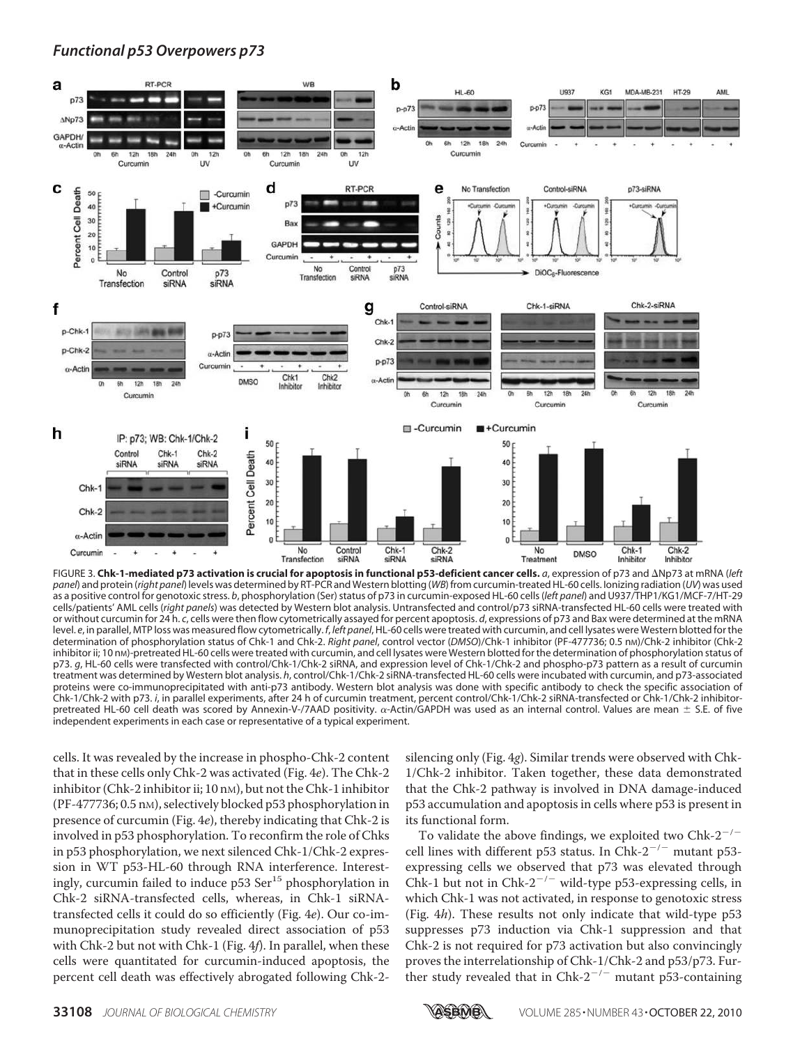

FIGURE 3. **Chk-1-mediated p73 activation is crucial for apoptosis in functional p53-deficient cancer cells.** *a*, expression of p73 and Np73 at mRNA (*left panel*) and protein (*right panel*) levels was determined by RT-PCR and Western blotting (*WB*) from curcumin-treated HL-60 cells. Ionizing radiation (*UV*) was used as a positive control for genotoxic stress. *b*, phosphorylation (Ser) status of p73 in curcumin-exposed HL-60 cells (*left panel*) and U937/THP1/KG1/MCF-7/HT-29 cells/patients' AML cells (*right panels*) was detected by Western blot analysis. Untransfected and control/p73 siRNA-transfected HL-60 cells were treated with or without curcumin for 24 h. *c*, cells were then flow cytometrically assayed for percent apoptosis. *d*, expressions of p73 and Bax were determined at the mRNA level. *e*, in parallel, MTP loss was measured flow cytometrically. *f*, *left panel*, HL-60 cells were treated with curcumin, and cell lysates were Western blotted for the determination of phosphorylation status of Chk-1 and Chk-2. *Right panel*, control vector (*DMSO*)/Chk-1 inhibitor (PF-477736; 0.5 nM)/Chk-2 inhibitor (Chk-2 inhibitor ii; 10 nM)-pretreated HL-60 cells were treated with curcumin, and cell lysates were Western blotted for the determination of phosphorylation status of p73. *g*, HL-60 cells were transfected with control/Chk-1/Chk-2 siRNA, and expression level of Chk-1/Chk-2 and phospho-p73 pattern as a result of curcumin treatment was determined by Western blot analysis. *h*, control/Chk-1/Chk-2 siRNA-transfected HL-60 cells were incubated with curcumin, and p73-associated proteins were co-immunoprecipitated with anti-p73 antibody. Western blot analysis was done with specific antibody to check the specific association of Chk-1/Chk-2 with p73. *i*, in parallel experiments, after 24 h of curcumin treatment, percent control/Chk-1/Chk-2 siRNA-transfected or Chk-1/Chk-2 inhibitorpretreated HL-60 cell death was scored by Annexin-V-/7AAD positivity.  $\alpha$ -Actin/GAPDH was used as an internal control. Values are mean  $\pm$  S.E. of five independent experiments in each case or representative of a typical experiment.

cells. It was revealed by the increase in phospho-Chk-2 content that in these cells only Chk-2 was activated (Fig. 4e). The Chk-2 inhibitor (Chk-2 inhibitor ii; 10 nm), but not the Chk-1 inhibitor (PF-477736; 0.5 nM), selectively blocked p53 phosphorylation in presence of curcumin (Fig. 4e), thereby indicating that Chk-2 is involved in p53 phosphorylation. To reconfirm the role of Chks in p53 phosphorylation, we next silenced Chk-1/Chk-2 expression in WT p53-HL-60 through RNA interference. Interestingly, curcumin failed to induce  $p53$  Ser<sup>15</sup> phosphorylation in Chk-2 siRNA-transfected cells, whereas, in Chk-1 siRNAtransfected cells it could do so efficiently (Fig. 4e). Our co-immunoprecipitation study revealed direct association of p53 with Chk-2 but not with Chk-1 (Fig. 4f). In parallel, when these cells were quantitated for curcumin-induced apoptosis, the percent cell death was effectively abrogated following Chk-2silencing only (Fig. 4g). Similar trends were observed with Chk-1/Chk-2 inhibitor. Taken together, these data demonstrated that the Chk-2 pathway is involved in DNA damage-induced p53 accumulation and apoptosis in cells where p53 is present in its functional form.

To validate the above findings, we exploited two  $Chk-2^{-/-}$ cell lines with different p53 status. In Chk-2<sup>-/-</sup> mutant p53expressing cells we observed that p73 was elevated through Chk-1 but not in Chk-2<sup>-/-</sup> wild-type p53-expressing cells, in which Chk-1 was not activated, in response to genotoxic stress (Fig. 4h). These results not only indicate that wild-type p53 suppresses p73 induction via Chk-1 suppression and that Chk-2 is not required for p73 activation but also convincingly proves the interrelationship of Chk-1/Chk-2 and p53/p73. Further study revealed that in Chk- $2^{-/-}$  mutant p53-containing

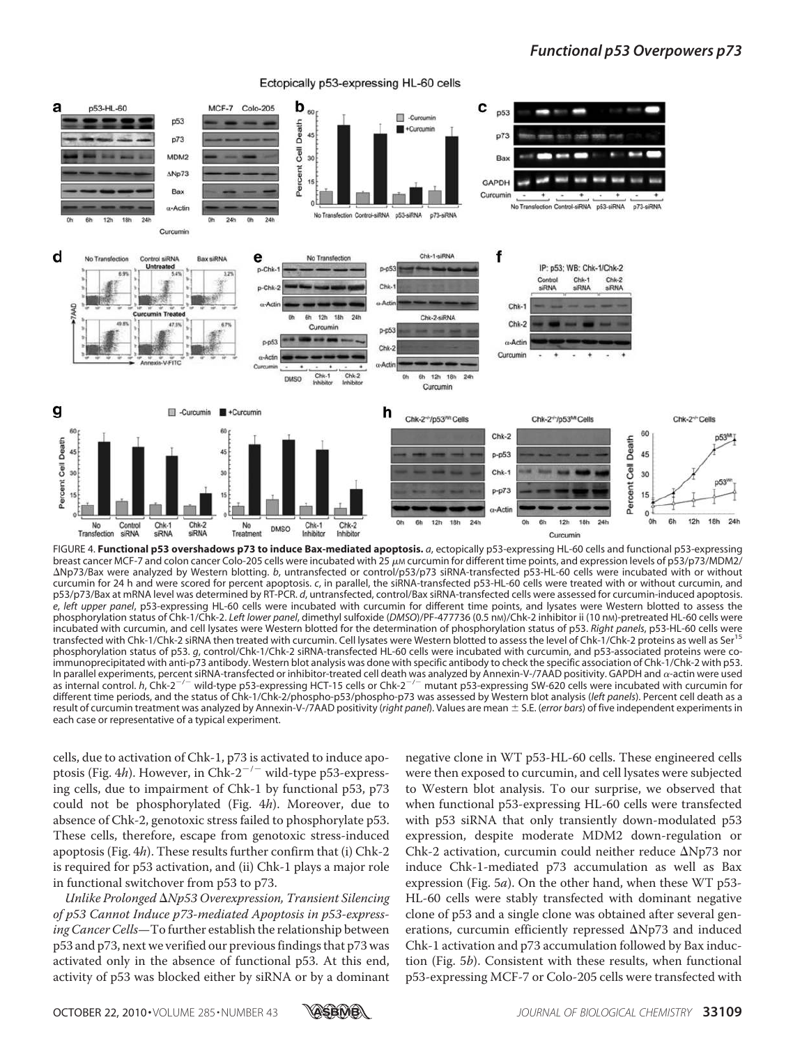Ectopically p53-expressing HL-60 cells



FIGURE 4. **Functional p53 overshadows p73 to induce Bax-mediated apoptosis.** *a*, ectopically p53-expressing HL-60 cells and functional p53-expressing breast cancer MCF-7 and colon cancer Colo-205 cells were incubated with 25  $\mu$ m curcumin for different time points, and expression levels of p53/p73/MDM2/ Np73/Bax were analyzed by Western blotting. *b*, untransfected or control/p53/p73 siRNA-transfected p53-HL-60 cells were incubated with or without curcumin for 24 h and were scored for percent apoptosis. *c*, in parallel, the siRNA-transfected p53-HL-60 cells were treated with or without curcumin, and p53/p73/Bax at mRNA level was determined by RT-PCR. *d*, untransfected, control/Bax siRNA-transfected cells were assessed for curcumin-induced apoptosis. *e*, *left upper panel*, p53-expressing HL-60 cells were incubated with curcumin for different time points, and lysates were Western blotted to assess the phosphorylation status of Chk-1/Chk-2. *Left lower panel*, dimethyl sulfoxide (*DMSO*)/PF-477736 (0.5 nM)/Chk-2 inhibitor ii (10 nM)-pretreated HL-60 cells were incubated with curcumin, and cell lysates were Western blotted for the determination of phosphorylation status of p53. *Right panels*, p53-HL-60 cells were transfected with Chk-1/Chk-2 siRNA then treated with curcumin. Cell lysates were Western blotted to assess the level of Chk-1/Chk-2 proteins as well as Ser<sup>15</sup> phosphorylation status of p53. *g*, control/Chk-1/Chk-2 siRNA-transfected HL-60 cells were incubated with curcumin, and p53-associated proteins were coimmunoprecipitated with anti-p73 antibody. Western blot analysis was done with specific antibody to check the specific association of Chk-1/Chk-2 with p53. In parallel experiments, percent siRNA-transfected or inhibitor-treated cell death was analyzed by Annexin-V-/7AAD positivity. GAPDH and  $\alpha$ -actin were used as internal control. *h*, Chk-2<sup>-/-</sup> wild-type p53-expressing HCT-15 cells or Chk-2<sup>-/-</sup> mutant p53-expressing SW-620 cells were incubated with curcumin for different time periods, and the status of Chk-1/Chk-2/phospho-p53/phospho-p73 was assessed by Western blot analysis (*left panels*). Percent cell death as a result of curcumin treatment was analyzed by Annexin-V-/7AAD positivity (*right panel*). Values are mean S.E. (*error bars*) of five independent experiments in each case or representative of a typical experiment.

cells, due to activation of Chk-1, p73 is activated to induce apoptosis (Fig. 4h). However, in Chk-2<sup>-/-</sup> wild-type p53-expressing cells, due to impairment of Chk-1 by functional p53, p73 could not be phosphorylated (Fig. 4h). Moreover, due to absence of Chk-2, genotoxic stress failed to phosphorylate p53. These cells, therefore, escape from genotoxic stress-induced apoptosis (Fig. 4h). These results further confirm that (i) Chk-2 is required for p53 activation, and (ii) Chk-1 plays a major role in functional switchover from p53 to p73.

Unlike Prolonged  $\Delta Np53$  Overexpression, Transient Silencing of p53 Cannot Induce p73-mediated Apoptosis in p53-expressing Cancer Cells—To further establish the relationship between p53 and p73, next we verified our previous findings that p73 was activated only in the absence of functional p53. At this end, activity of p53 was blocked either by siRNA or by a dominant

negative clone in WT p53-HL-60 cells. These engineered cells were then exposed to curcumin, and cell lysates were subjected to Western blot analysis. To our surprise, we observed that when functional p53-expressing HL-60 cells were transfected with p53 siRNA that only transiently down-modulated p53 expression, despite moderate MDM2 down-regulation or Chk-2 activation, curcumin could neither reduce  $\Delta$ Np73 nor induce Chk-1-mediated p73 accumulation as well as Bax expression (Fig. 5a). On the other hand, when these WT p53- HL-60 cells were stably transfected with dominant negative clone of p53 and a single clone was obtained after several generations, curcumin efficiently repressed  $\Delta Np73$  and induced Chk-1 activation and p73 accumulation followed by Bax induction (Fig. 5b). Consistent with these results, when functional p53-expressing MCF-7 or Colo-205 cells were transfected with

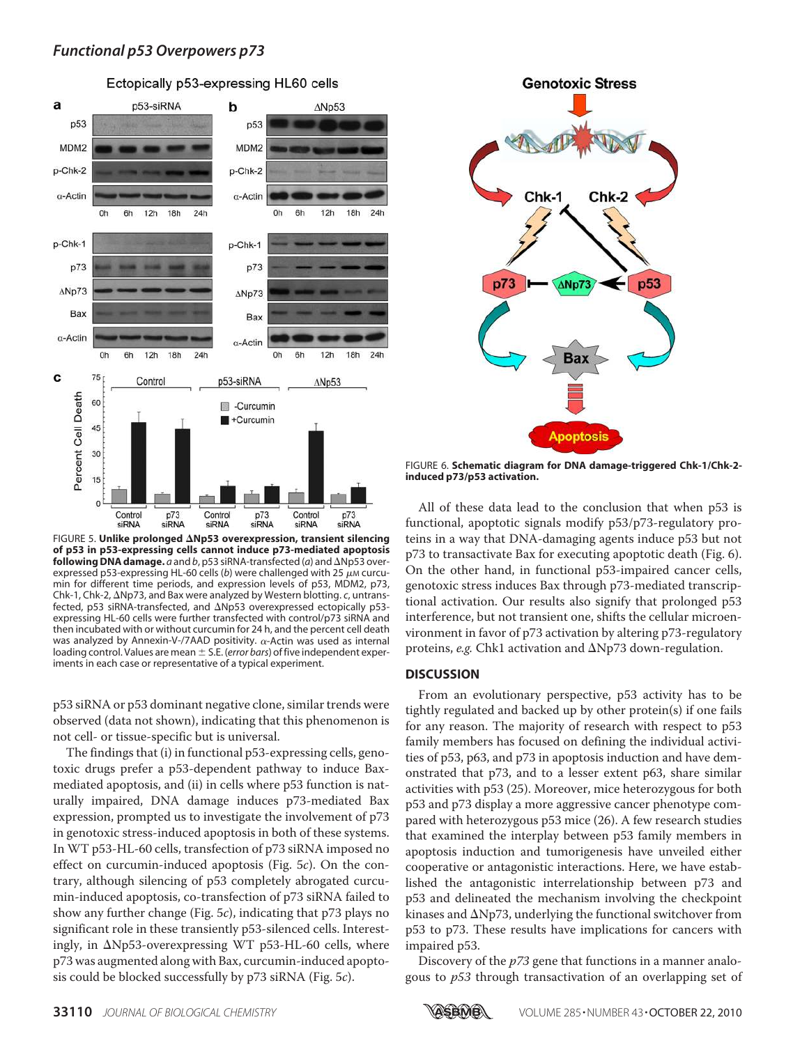

Ectopically p53-expressing HL60 cells

FIGURE 5. **Unlike prolonged Np53 overexpression, transient silencing of p53 in p53-expressing cells cannot induce p73-mediated apoptosis following DNA damage.**  $\bar{a}$  and  $b$ , p53 siRNA-transfected ( $a$ ) and  $\Delta$ Np53 overexpressed p53-expressing HL-60 cells (b) were challenged with 25  $\mu$ M curcumin for different time periods, and expression levels of p53, MDM2, p73, Chk-1, Chk-2, Np73, and Bax were analyzed by Western blotting. *c*, untransfected, p53 siRNA-transfected, and  $\Delta$ Np53 overexpressed ectopically p53expressing HL-60 cells were further transfected with control/p73 siRNA and then incubated with or without curcumin for 24 h, and the percent cell death was analyzed by Annexin-V-/7AAD positivity.  $\alpha$ -Actin was used as internal loading control. Values are mean S.E. (*error bars*) of five independent experiments in each case or representative of a typical experiment.

p53 siRNA or p53 dominant negative clone, similar trends were observed (data not shown), indicating that this phenomenon is not cell- or tissue-specific but is universal.

The findings that (i) in functional p53-expressing cells, genotoxic drugs prefer a p53-dependent pathway to induce Baxmediated apoptosis, and (ii) in cells where p53 function is naturally impaired, DNA damage induces p73-mediated Bax expression, prompted us to investigate the involvement of p73 in genotoxic stress-induced apoptosis in both of these systems. In WT p53-HL-60 cells, transfection of p73 siRNA imposed no effect on curcumin-induced apoptosis (Fig. 5c). On the contrary, although silencing of p53 completely abrogated curcumin-induced apoptosis, co-transfection of p73 siRNA failed to show any further change (Fig. 5c), indicating that p73 plays no significant role in these transiently p53-silenced cells. Interestingly, in  $\Delta$ Np53-overexpressing WT p53-HL-60 cells, where p73 was augmented along with Bax, curcumin-induced apoptosis could be blocked successfully by p73 siRNA (Fig. 5c).



FIGURE 6. **Schematic diagram for DNA damage-triggered Chk-1/Chk-2 induced p73/p53 activation.**

All of these data lead to the conclusion that when p53 is functional, apoptotic signals modify p53/p73-regulatory proteins in a way that DNA-damaging agents induce p53 but not p73 to transactivate Bax for executing apoptotic death (Fig. 6). On the other hand, in functional p53-impaired cancer cells, genotoxic stress induces Bax through p73-mediated transcriptional activation. Our results also signify that prolonged p53 interference, but not transient one, shifts the cellular microenvironment in favor of p73 activation by altering p73-regulatory proteins, e.g. Chk1 activation and  $\Delta Np73$  down-regulation.

#### **DISCUSSION**

From an evolutionary perspective, p53 activity has to be tightly regulated and backed up by other protein(s) if one fails for any reason. The majority of research with respect to p53 family members has focused on defining the individual activities of p53, p63, and p73 in apoptosis induction and have demonstrated that p73, and to a lesser extent p63, share similar activities with p53 (25). Moreover, mice heterozygous for both p53 and p73 display a more aggressive cancer phenotype compared with heterozygous p53 mice (26). A few research studies that examined the interplay between p53 family members in apoptosis induction and tumorigenesis have unveiled either cooperative or antagonistic interactions. Here, we have established the antagonistic interrelationship between p73 and p53 and delineated the mechanism involving the checkpoint kinases and  $\Delta$ Np73, underlying the functional switchover from p53 to p73. These results have implications for cancers with impaired p53.

Discovery of the  $p<sub>73</sub>$  gene that functions in a manner analogous to p53 through transactivation of an overlapping set of

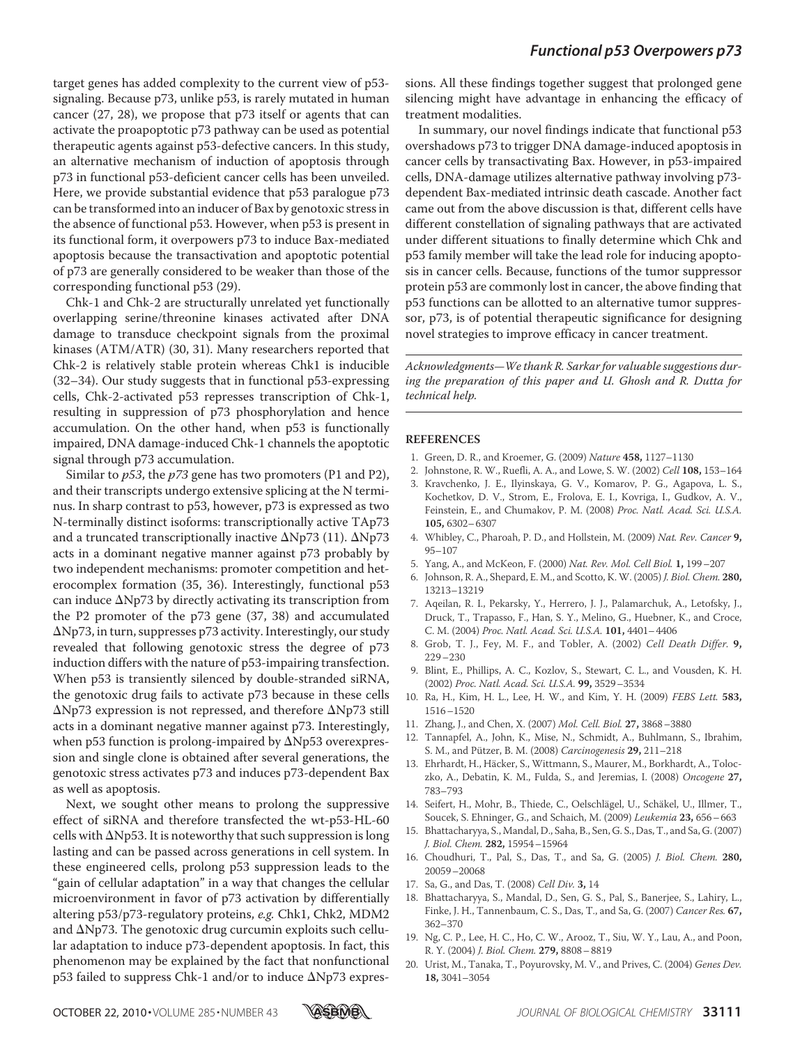target genes has added complexity to the current view of p53 signaling. Because p73, unlike p53, is rarely mutated in human cancer (27, 28), we propose that p73 itself or agents that can activate the proapoptotic p73 pathway can be used as potential therapeutic agents against p53-defective cancers. In this study, an alternative mechanism of induction of apoptosis through p73 in functional p53-deficient cancer cells has been unveiled. Here, we provide substantial evidence that p53 paralogue p73 can be transformed into an inducer of Bax by genotoxic stress in the absence of functional p53. However, when p53 is present in its functional form, it overpowers p73 to induce Bax-mediated apoptosis because the transactivation and apoptotic potential of p73 are generally considered to be weaker than those of the corresponding functional p53 (29).

Chk-1 and Chk-2 are structurally unrelated yet functionally overlapping serine/threonine kinases activated after DNA damage to transduce checkpoint signals from the proximal kinases (ATM/ATR) (30, 31). Many researchers reported that Chk-2 is relatively stable protein whereas Chk1 is inducible (32–34). Our study suggests that in functional p53-expressing cells, Chk-2-activated p53 represses transcription of Chk-1, resulting in suppression of p73 phosphorylation and hence accumulation. On the other hand, when p53 is functionally impaired, DNA damage-induced Chk-1 channels the apoptotic signal through p73 accumulation.

Similar to  $p53$ , the  $p73$  gene has two promoters (P1 and P2), and their transcripts undergo extensive splicing at the N terminus. In sharp contrast to p53, however, p73 is expressed as two N-terminally distinct isoforms: transcriptionally active TAp73 and a truncated transcriptionally inactive  $\Delta Np73$  (11).  $\Delta Np73$ acts in a dominant negative manner against p73 probably by two independent mechanisms: promoter competition and heterocomplex formation (35, 36). Interestingly, functional p53 can induce  $\Delta$ Np73 by directly activating its transcription from the P2 promoter of the p73 gene (37, 38) and accumulated  $\Delta$ Np73, in turn, suppresses p73 activity. Interestingly, our study revealed that following genotoxic stress the degree of p73 induction differs with the nature of p53-impairing transfection. When p53 is transiently silenced by double-stranded siRNA, the genotoxic drug fails to activate p73 because in these cells  $\Delta$ Np73 expression is not repressed, and therefore  $\Delta$ Np73 still acts in a dominant negative manner against p73. Interestingly, when p53 function is prolong-impaired by  $\Delta Np53$  overexpression and single clone is obtained after several generations, the genotoxic stress activates p73 and induces p73-dependent Bax as well as apoptosis.

Next, we sought other means to prolong the suppressive effect of siRNA and therefore transfected the wt-p53-HL-60 cells with  $\Delta$ Np53. It is noteworthy that such suppression is long lasting and can be passed across generations in cell system. In these engineered cells, prolong p53 suppression leads to the "gain of cellular adaptation" in a way that changes the cellular microenvironment in favor of p73 activation by differentially altering p53/p73-regulatory proteins, e.g. Chk1, Chk2, MDM2 and  $\Delta$ Np73. The genotoxic drug curcumin exploits such cellular adaptation to induce p73-dependent apoptosis. In fact, this phenomenon may be explained by the fact that nonfunctional  $p53$  failed to suppress Chk-1 and/or to induce  $\Delta Np73$  expressions. All these findings together suggest that prolonged gene silencing might have advantage in enhancing the efficacy of treatment modalities.

In summary, our novel findings indicate that functional p53 overshadows p73 to trigger DNA damage-induced apoptosis in cancer cells by transactivating Bax. However, in p53-impaired cells, DNA-damage utilizes alternative pathway involving p73 dependent Bax-mediated intrinsic death cascade. Another fact came out from the above discussion is that, different cells have different constellation of signaling pathways that are activated under different situations to finally determine which Chk and p53 family member will take the lead role for inducing apoptosis in cancer cells. Because, functions of the tumor suppressor protein p53 are commonly lost in cancer, the above finding that p53 functions can be allotted to an alternative tumor suppressor, p73, is of potential therapeutic significance for designing novel strategies to improve efficacy in cancer treatment.

Acknowledgments—We thank R. Sarkar for valuable suggestions during the preparation of this paper and U. Ghosh and R. Dutta for technical help.

#### **REFERENCES**

- 1. Green, D. R., and Kroemer, G. (2009) Nature **458,** 1127–1130
- 2. Johnstone, R. W., Ruefli, A. A., and Lowe, S. W. (2002) Cell **108,** 153–164
- 3. Kravchenko, J. E., Ilyinskaya, G. V., Komarov, P. G., Agapova, L. S., Kochetkov, D. V., Strom, E., Frolova, E. I., Kovriga, I., Gudkov, A. V., Feinstein, E., and Chumakov, P. M. (2008) Proc. Natl. Acad. Sci. U.S.A. **105,** 6302–6307
- 4. Whibley, C., Pharoah, P. D., and Hollstein, M. (2009) Nat. Rev. Cancer **9,** 95–107
- 5. Yang, A., and McKeon, F. (2000) Nat. Rev. Mol. Cell Biol. **1,** 199–207
- 6. Johnson, R. A., Shepard, E. M., and Scotto, K. W. (2005) J. Biol. Chem. **280,** 13213–13219
- 7. Aqeilan, R. I., Pekarsky, Y., Herrero, J. J., Palamarchuk, A., Letofsky, J., Druck, T., Trapasso, F., Han, S. Y., Melino, G., Huebner, K., and Croce, C. M. (2004) Proc. Natl. Acad. Sci. U.S.A. **101,** 4401–4406
- 8. Grob, T. J., Fey, M. F., and Tobler, A. (2002) Cell Death Differ. **9,** 229–230
- 9. Blint, E., Phillips, A. C., Kozlov, S., Stewart, C. L., and Vousden, K. H. (2002) Proc. Natl. Acad. Sci. U.S.A. **99,** 3529–3534
- 10. Ra, H., Kim, H. L., Lee, H. W., and Kim, Y. H. (2009) FEBS Lett. **583,** 1516–1520
- 11. Zhang, J., and Chen, X. (2007) Mol. Cell. Biol. **27,** 3868–3880
- 12. Tannapfel, A., John, K., Mise, N., Schmidt, A., Buhlmann, S., Ibrahim, S. M., and Pützer, B. M. (2008) Carcinogenesis **29,** 211-218
- 13. Ehrhardt, H., Häcker, S., Wittmann, S., Maurer, M., Borkhardt, A., Toloczko, A., Debatin, K. M., Fulda, S., and Jeremias, I. (2008) Oncogene **27,** 783–793
- 14. Seifert, H., Mohr, B., Thiede, C., Oelschlägel, U., Schäkel, U., Illmer, T., Soucek, S. Ehninger, G., and Schaich, M. (2009) Leukemia **23,** 656–663
- 15. Bhattacharyya, S., Mandal, D., Saha, B., Sen, G. S., Das, T., and Sa, G. (2007) J. Biol. Chem. **282,** 15954–15964
- 16. Choudhuri, T., Pal, S., Das, T., and Sa, G. (2005) J. Biol. Chem. **280,** 20059–20068
- 17. Sa, G., and Das, T. (2008) Cell Div. **3,** 14
- 18. Bhattacharyya, S., Mandal, D., Sen, G. S., Pal, S., Banerjee, S., Lahiry, L., Finke, J. H., Tannenbaum, C. S., Das, T., and Sa, G. (2007) Cancer Res. **67,** 362–370
- 19. Ng, C. P., Lee, H. C., Ho, C. W., Arooz, T., Siu, W. Y., Lau, A., and Poon, R. Y. (2004) J. Biol. Chem. **279,** 8808–8819
- 20. Urist, M., Tanaka, T., Poyurovsky, M. V., and Prives, C. (2004) Genes Dev. **18,** 3041–3054